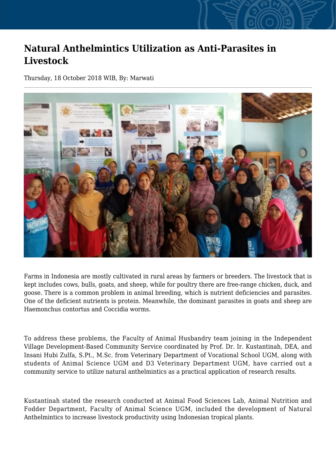## **Natural Anthelmintics Utilization as Anti-Parasites in Livestock**

Thursday, 18 October 2018 WIB, By: Marwati



Farms in Indonesia are mostly cultivated in rural areas by farmers or breeders. The livestock that is kept includes cows, bulls, goats, and sheep, while for poultry there are free-range chicken, duck, and goose. There is a common problem in animal breeding, which is nutrient deficiencies and parasites. One of the deficient nutrients is protein. Meanwhile, the dominant parasites in goats and sheep are Haemonchus contortus and Coccidia worms.

To address these problems, the Faculty of Animal Husbandry team joining in the Independent Village Development-Based Community Service coordinated by Prof. Dr. Ir. Kustantinah, DEA, and Insani Hubi Zulfa, S.Pt., M.Sc. from Veterinary Department of Vocational School UGM, along with students of Animal Science UGM and D3 Veterinary Department UGM, have carried out a community service to utilize natural anthelmintics as a practical application of research results.

Kustantinah stated the research conducted at Animal Food Sciences Lab, Animal Nutrition and Fodder Department, Faculty of Animal Science UGM, included the development of Natural Anthelmintics to increase livestock productivity using Indonesian tropical plants.